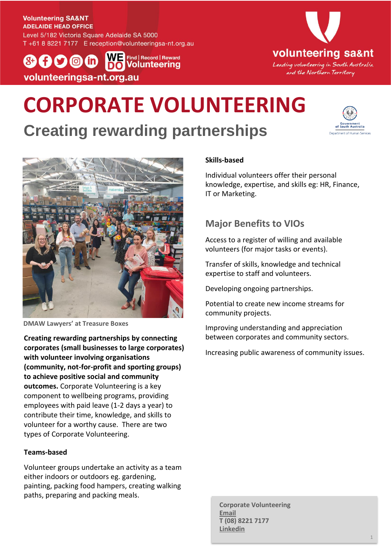#### **Volunteering SA&NT ADELAIDE HEAD OFFICE**

Level 5/182 Victoria Square Adelaide SA 5000 T +61 8 8221 7177 E reception@volunteeringsa-nt.org.au

W = Find | Record | Reward  $(8+1)$   $(9)$   $(0)$   $(1)$ **O** Volunteering volunteeringsa-nt.org.au



# **CORPORATE VOLUNTEERING**

## **Creating rewarding partnerships**





**DMAW Lawyers' at Treasure Boxes**

**Creating rewarding partnerships by connecting corporates (small businesses to large corporates) with volunteer involving organisations (community, not-for-profit and sporting groups) to achieve positive social and community outcomes.** Corporate Volunteering is a key component to wellbeing programs, providing employees with paid leave (1-2 days a year) to contribute their time, knowledge, and skills to volunteer for a worthy cause. There are two types of Corporate Volunteering.

#### **Teams-based**

Volunteer groups undertake an activity as a team either indoors or outdoors eg. gardening, painting, packing food hampers, creating walking paths, preparing and packing meals.

### **Skills-based**

Individual volunteers offer their personal knowledge, expertise, and skills eg: HR, Finance, IT or Marketing.

### **Major Benefits to VIOs**

Access to a register of willing and available volunteers (for major tasks or events).

Transfer of skills, knowledge and technical expertise to staff and volunteers.

Developing ongoing partnerships.

Potential to create new income streams for community projects.

Improving understanding and appreciation between corporates and community sectors.

Increasing public awareness of community issues.

**Corporate Volunteering [Email](mailto:business@volunteeringsa-nt.org.au?subject=Corporate%20Volunteering%20enquiry) T (08) 8221 7177 [Linkedin](http://www.linkedin.com/company/volunteering-sa&nt)**